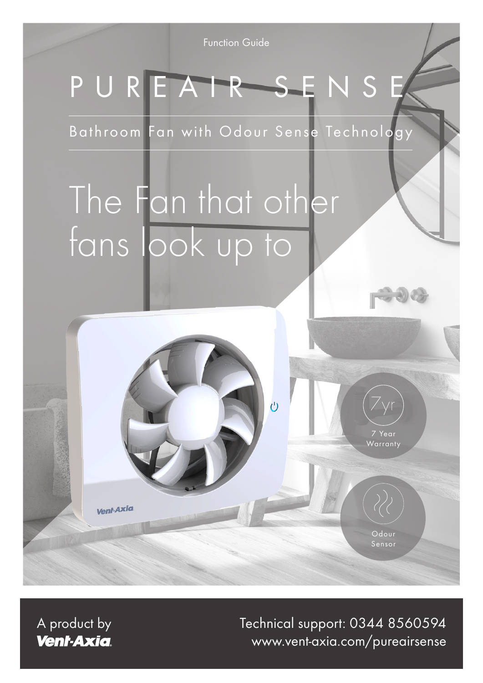Function Guide

## PUREAIR SENSE

Bathroom Fan with Odour Sense Technology

 $\overline{C}$ 

# The Fan that other fans look up to

**Vent-Axia** 

A product by **Vent-Axia** 

www.vent-axia.com/pureairsense Technical support: 0344 8560594

Odour Sensor

7 Year Warranty